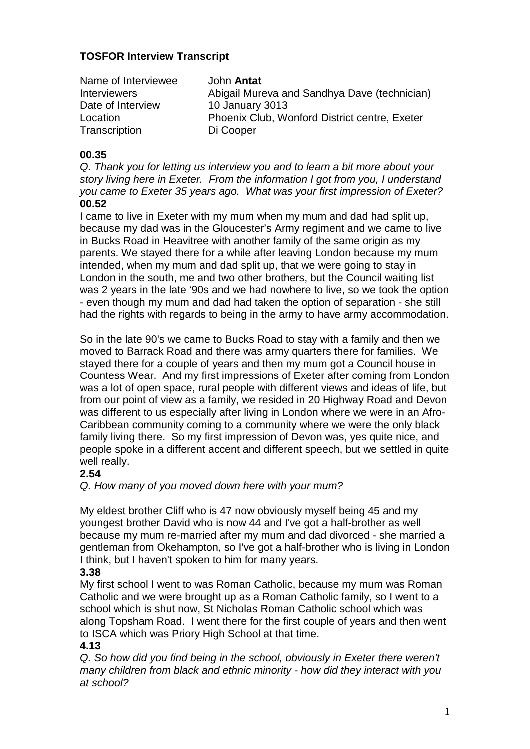## **TOSFOR Interview Transcript**

| Name of Interviewee | John <b>Antat</b>                             |
|---------------------|-----------------------------------------------|
| <b>Interviewers</b> | Abigail Mureva and Sandhya Dave (technician)  |
| Date of Interview   | <b>10 January 3013</b>                        |
| Location            | Phoenix Club, Wonford District centre, Exeter |
| Transcription       | Di Cooper                                     |

## **00.35**

Q. Thank you for letting us interview you and to learn a bit more about your story living here in Exeter. From the information I got from you, I understand you came to Exeter 35 years ago. What was your first impression of Exeter? **00.52** 

I came to live in Exeter with my mum when my mum and dad had split up, because my dad was in the Gloucester's Army regiment and we came to live in Bucks Road in Heavitree with another family of the same origin as my parents. We stayed there for a while after leaving London because my mum intended, when my mum and dad split up, that we were going to stay in London in the south, me and two other brothers, but the Council waiting list was 2 years in the late '90s and we had nowhere to live, so we took the option - even though my mum and dad had taken the option of separation - she still had the rights with regards to being in the army to have army accommodation.

So in the late 90's we came to Bucks Road to stay with a family and then we moved to Barrack Road and there was army quarters there for families. We stayed there for a couple of years and then my mum got a Council house in Countess Wear. And my first impressions of Exeter after coming from London was a lot of open space, rural people with different views and ideas of life, but from our point of view as a family, we resided in 20 Highway Road and Devon was different to us especially after living in London where we were in an Afro-Caribbean community coming to a community where we were the only black family living there. So my first impression of Devon was, yes quite nice, and people spoke in a different accent and different speech, but we settled in quite well really.

## **2.54**

Q. How many of you moved down here with your mum?

My eldest brother Cliff who is 47 now obviously myself being 45 and my youngest brother David who is now 44 and I've got a half-brother as well because my mum re-married after my mum and dad divorced - she married a gentleman from Okehampton, so I've got a half-brother who is living in London I think, but I haven't spoken to him for many years.

## **3.38**

My first school I went to was Roman Catholic, because my mum was Roman Catholic and we were brought up as a Roman Catholic family, so I went to a school which is shut now, St Nicholas Roman Catholic school which was along Topsham Road. I went there for the first couple of years and then went to ISCA which was Priory High School at that time.

#### **4.13**

Q. So how did you find being in the school, obviously in Exeter there weren't many children from black and ethnic minority - how did they interact with you at school?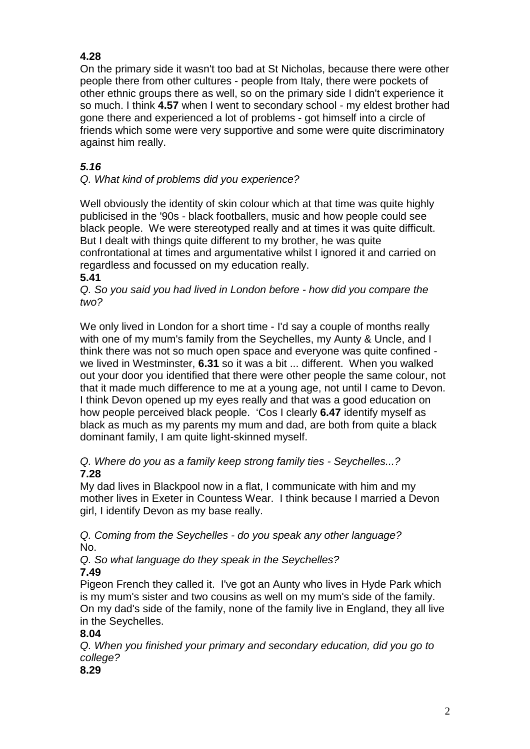# **4.28**

On the primary side it wasn't too bad at St Nicholas, because there were other people there from other cultures - people from Italy, there were pockets of other ethnic groups there as well, so on the primary side I didn't experience it so much. I think **4.57** when I went to secondary school - my eldest brother had gone there and experienced a lot of problems - got himself into a circle of friends which some were very supportive and some were quite discriminatory against him really.

# **5.16**

# Q. What kind of problems did you experience?

Well obviously the identity of skin colour which at that time was quite highly publicised in the '90s - black footballers, music and how people could see black people. We were stereotyped really and at times it was quite difficult. But I dealt with things quite different to my brother, he was quite confrontational at times and argumentative whilst I ignored it and carried on regardless and focussed on my education really.

# **5.41**

Q. So you said you had lived in London before - how did you compare the two?

We only lived in London for a short time - I'd say a couple of months really with one of my mum's family from the Seychelles, my Aunty & Uncle, and I think there was not so much open space and everyone was quite confined we lived in Westminster, **6.31** so it was a bit ... different. When you walked out your door you identified that there were other people the same colour, not that it made much difference to me at a young age, not until I came to Devon. I think Devon opened up my eyes really and that was a good education on how people perceived black people. 'Cos I clearly **6.47** identify myself as black as much as my parents my mum and dad, are both from quite a black dominant family, I am quite light-skinned myself.

Q. Where do you as a family keep strong family ties - Seychelles...? **7.28** 

My dad lives in Blackpool now in a flat, I communicate with him and my mother lives in Exeter in Countess Wear. I think because I married a Devon girl, I identify Devon as my base really.

Q. Coming from the Seychelles - do you speak any other language? No.

Q. So what language do they speak in the Seychelles? **7.49** 

Pigeon French they called it. I've got an Aunty who lives in Hyde Park which is my mum's sister and two cousins as well on my mum's side of the family. On my dad's side of the family, none of the family live in England, they all live in the Seychelles.

# **8.04**

Q. When you finished your primary and secondary education, did you go to college?

# **8.29**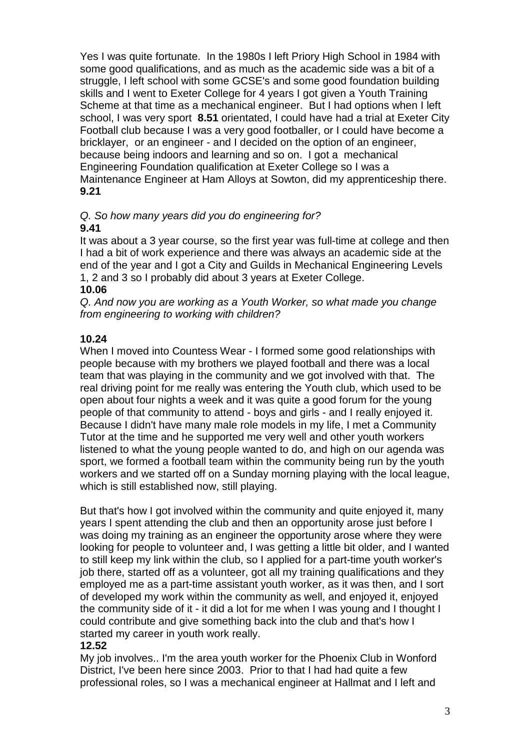Yes I was quite fortunate. In the 1980s I left Priory High School in 1984 with some good qualifications, and as much as the academic side was a bit of a struggle, I left school with some GCSE's and some good foundation building skills and I went to Exeter College for 4 years I got given a Youth Training Scheme at that time as a mechanical engineer. But I had options when I left school, I was very sport **8.51** orientated, I could have had a trial at Exeter City Football club because I was a very good footballer, or I could have become a bricklayer, or an engineer - and I decided on the option of an engineer, because being indoors and learning and so on. I got a mechanical Engineering Foundation qualification at Exeter College so I was a Maintenance Engineer at Ham Alloys at Sowton, did my apprenticeship there. **9.21** 

#### Q. So how many years did you do engineering for? **9.41**

It was about a 3 year course, so the first year was full-time at college and then I had a bit of work experience and there was always an academic side at the end of the year and I got a City and Guilds in Mechanical Engineering Levels 1, 2 and 3 so I probably did about 3 years at Exeter College.

# **10.06**

Q. And now you are working as a Youth Worker, so what made you change from engineering to working with children?

# **10.24**

When I moved into Countess Wear - I formed some good relationships with people because with my brothers we played football and there was a local team that was playing in the community and we got involved with that. The real driving point for me really was entering the Youth club, which used to be open about four nights a week and it was quite a good forum for the young people of that community to attend - boys and girls - and I really enjoyed it. Because I didn't have many male role models in my life, I met a Community Tutor at the time and he supported me very well and other youth workers listened to what the young people wanted to do, and high on our agenda was sport, we formed a football team within the community being run by the youth workers and we started off on a Sunday morning playing with the local league, which is still established now, still playing.

But that's how I got involved within the community and quite enjoyed it, many years I spent attending the club and then an opportunity arose just before I was doing my training as an engineer the opportunity arose where they were looking for people to volunteer and, I was getting a little bit older, and I wanted to still keep my link within the club, so I applied for a part-time youth worker's job there, started off as a volunteer, got all my training qualifications and they employed me as a part-time assistant youth worker, as it was then, and I sort of developed my work within the community as well, and enjoyed it, enjoyed the community side of it - it did a lot for me when I was young and I thought I could contribute and give something back into the club and that's how I started my career in youth work really.

# **12.52**

My job involves.. I'm the area youth worker for the Phoenix Club in Wonford District, I've been here since 2003. Prior to that I had had quite a few professional roles, so I was a mechanical engineer at Hallmat and I left and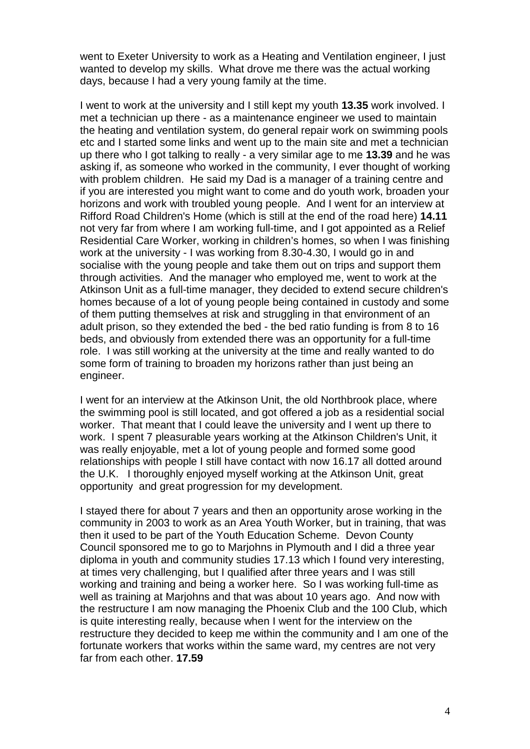went to Exeter University to work as a Heating and Ventilation engineer, I just wanted to develop my skills. What drove me there was the actual working days, because I had a very young family at the time.

I went to work at the university and I still kept my youth **13.35** work involved. I met a technician up there - as a maintenance engineer we used to maintain the heating and ventilation system, do general repair work on swimming pools etc and I started some links and went up to the main site and met a technician up there who I got talking to really - a very similar age to me **13.39** and he was asking if, as someone who worked in the community, I ever thought of working with problem children. He said my Dad is a manager of a training centre and if you are interested you might want to come and do youth work, broaden your horizons and work with troubled young people. And I went for an interview at Rifford Road Children's Home (which is still at the end of the road here) **14.11** not very far from where I am working full-time, and I got appointed as a Relief Residential Care Worker, working in children's homes, so when I was finishing work at the university - I was working from 8.30-4.30, I would go in and socialise with the young people and take them out on trips and support them through activities. And the manager who employed me, went to work at the Atkinson Unit as a full-time manager, they decided to extend secure children's homes because of a lot of young people being contained in custody and some of them putting themselves at risk and struggling in that environment of an adult prison, so they extended the bed - the bed ratio funding is from 8 to 16 beds, and obviously from extended there was an opportunity for a full-time role. I was still working at the university at the time and really wanted to do some form of training to broaden my horizons rather than just being an engineer.

I went for an interview at the Atkinson Unit, the old Northbrook place, where the swimming pool is still located, and got offered a job as a residential social worker. That meant that I could leave the university and I went up there to work. I spent 7 pleasurable years working at the Atkinson Children's Unit, it was really enjoyable, met a lot of young people and formed some good relationships with people I still have contact with now 16.17 all dotted around the U.K. I thoroughly enjoyed myself working at the Atkinson Unit, great opportunity and great progression for my development.

I stayed there for about 7 years and then an opportunity arose working in the community in 2003 to work as an Area Youth Worker, but in training, that was then it used to be part of the Youth Education Scheme. Devon County Council sponsored me to go to Marjohns in Plymouth and I did a three year diploma in youth and community studies 17.13 which I found very interesting, at times very challenging, but I qualified after three years and I was still working and training and being a worker here. So I was working full-time as well as training at Marjohns and that was about 10 years ago. And now with the restructure I am now managing the Phoenix Club and the 100 Club, which is quite interesting really, because when I went for the interview on the restructure they decided to keep me within the community and I am one of the fortunate workers that works within the same ward, my centres are not very far from each other. **17.59**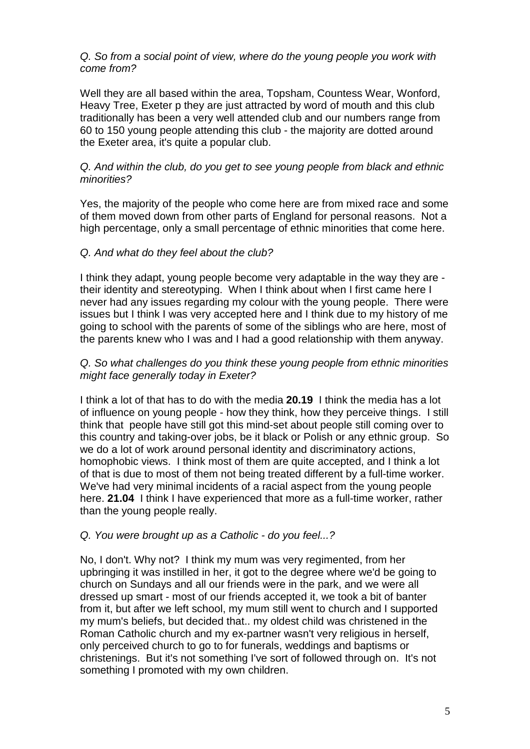Q. So from a social point of view, where do the young people you work with come from?

Well they are all based within the area, Topsham, Countess Wear, Wonford, Heavy Tree, Exeter p they are just attracted by word of mouth and this club traditionally has been a very well attended club and our numbers range from 60 to 150 young people attending this club - the majority are dotted around the Exeter area, it's quite a popular club.

## Q. And within the club, do you get to see young people from black and ethnic minorities?

Yes, the majority of the people who come here are from mixed race and some of them moved down from other parts of England for personal reasons. Not a high percentage, only a small percentage of ethnic minorities that come here.

## Q. And what do they feel about the club?

I think they adapt, young people become very adaptable in the way they are their identity and stereotyping. When I think about when I first came here I never had any issues regarding my colour with the young people. There were issues but I think I was very accepted here and I think due to my history of me going to school with the parents of some of the siblings who are here, most of the parents knew who I was and I had a good relationship with them anyway.

## Q. So what challenges do you think these young people from ethnic minorities might face generally today in Exeter?

I think a lot of that has to do with the media **20.19** I think the media has a lot of influence on young people - how they think, how they perceive things. I still think that people have still got this mind-set about people still coming over to this country and taking-over jobs, be it black or Polish or any ethnic group. So we do a lot of work around personal identity and discriminatory actions, homophobic views. I think most of them are quite accepted, and I think a lot of that is due to most of them not being treated different by a full-time worker. We've had very minimal incidents of a racial aspect from the young people here. **21.04** I think I have experienced that more as a full-time worker, rather than the young people really.

## Q. You were brought up as a Catholic - do you feel...?

No, I don't. Why not? I think my mum was very regimented, from her upbringing it was instilled in her, it got to the degree where we'd be going to church on Sundays and all our friends were in the park, and we were all dressed up smart - most of our friends accepted it, we took a bit of banter from it, but after we left school, my mum still went to church and I supported my mum's beliefs, but decided that.. my oldest child was christened in the Roman Catholic church and my ex-partner wasn't very religious in herself, only perceived church to go to for funerals, weddings and baptisms or christenings. But it's not something I've sort of followed through on. It's not something I promoted with my own children.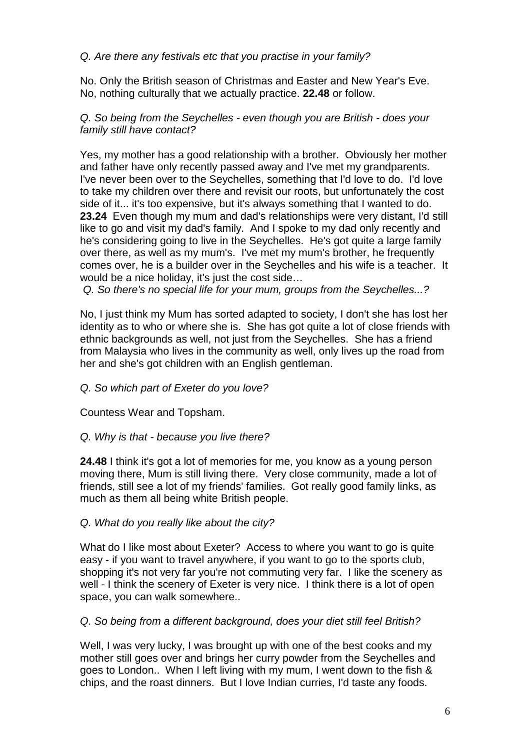## Q. Are there any festivals etc that you practise in your family?

No. Only the British season of Christmas and Easter and New Year's Eve. No, nothing culturally that we actually practice. **22.48** or follow.

Q. So being from the Seychelles - even though you are British - does your family still have contact?

Yes, my mother has a good relationship with a brother. Obviously her mother and father have only recently passed away and I've met my grandparents. I've never been over to the Seychelles, something that I'd love to do. I'd love to take my children over there and revisit our roots, but unfortunately the cost side of it... it's too expensive, but it's always something that I wanted to do. **23.24** Even though my mum and dad's relationships were very distant, I'd still like to go and visit my dad's family. And I spoke to my dad only recently and he's considering going to live in the Seychelles. He's got quite a large family over there, as well as my mum's. I've met my mum's brother, he frequently comes over, he is a builder over in the Seychelles and his wife is a teacher. It would be a nice holiday, it's just the cost side…

Q. So there's no special life for your mum, groups from the Seychelles...?

No, I just think my Mum has sorted adapted to society, I don't she has lost her identity as to who or where she is. She has got quite a lot of close friends with ethnic backgrounds as well, not just from the Seychelles. She has a friend from Malaysia who lives in the community as well, only lives up the road from her and she's got children with an English gentleman.

## Q. So which part of Exeter do you love?

Countess Wear and Topsham.

Q. Why is that - because you live there?

**24.48** I think it's got a lot of memories for me, you know as a young person moving there, Mum is still living there. Very close community, made a lot of friends, still see a lot of my friends' families. Got really good family links, as much as them all being white British people.

## Q. What do you really like about the city?

What do I like most about Exeter? Access to where you want to go is quite easy - if you want to travel anywhere, if you want to go to the sports club, shopping it's not very far you're not commuting very far. I like the scenery as well - I think the scenery of Exeter is very nice. I think there is a lot of open space, you can walk somewhere..

## Q. So being from a different background, does your diet still feel British?

Well, I was very lucky, I was brought up with one of the best cooks and my mother still goes over and brings her curry powder from the Seychelles and goes to London.. When I left living with my mum, I went down to the fish & chips, and the roast dinners. But I love Indian curries, I'd taste any foods.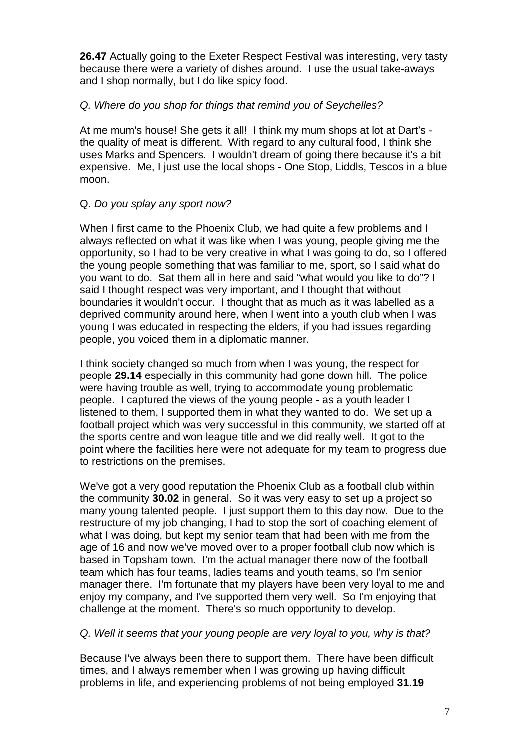**26.47** Actually going to the Exeter Respect Festival was interesting, very tasty because there were a variety of dishes around. I use the usual take-aways and I shop normally, but I do like spicy food.

## Q. Where do you shop for things that remind you of Seychelles?

At me mum's house! She gets it all! I think my mum shops at lot at Dart's the quality of meat is different. With regard to any cultural food, I think she uses Marks and Spencers. I wouldn't dream of going there because it's a bit expensive. Me, I just use the local shops - One Stop, Liddls, Tescos in a blue moon.

## Q. Do you splay any sport now?

When I first came to the Phoenix Club, we had quite a few problems and I always reflected on what it was like when I was young, people giving me the opportunity, so I had to be very creative in what I was going to do, so I offered the young people something that was familiar to me, sport, so I said what do you want to do. Sat them all in here and said "what would you like to do"? I said I thought respect was very important, and I thought that without boundaries it wouldn't occur. I thought that as much as it was labelled as a deprived community around here, when I went into a youth club when I was young I was educated in respecting the elders, if you had issues regarding people, you voiced them in a diplomatic manner.

I think society changed so much from when I was young, the respect for people **29.14** especially in this community had gone down hill. The police were having trouble as well, trying to accommodate young problematic people. I captured the views of the young people - as a youth leader I listened to them, I supported them in what they wanted to do. We set up a football project which was very successful in this community, we started off at the sports centre and won league title and we did really well. It got to the point where the facilities here were not adequate for my team to progress due to restrictions on the premises.

We've got a very good reputation the Phoenix Club as a football club within the community **30.02** in general. So it was very easy to set up a project so many young talented people. I just support them to this day now. Due to the restructure of my job changing, I had to stop the sort of coaching element of what I was doing, but kept my senior team that had been with me from the age of 16 and now we've moved over to a proper football club now which is based in Topsham town. I'm the actual manager there now of the football team which has four teams, ladies teams and youth teams, so I'm senior manager there. I'm fortunate that my players have been very loyal to me and enjoy my company, and I've supported them very well. So I'm enjoying that challenge at the moment. There's so much opportunity to develop.

## Q. Well it seems that your young people are very loyal to you, why is that?

Because I've always been there to support them. There have been difficult times, and I always remember when I was growing up having difficult problems in life, and experiencing problems of not being employed **31.19**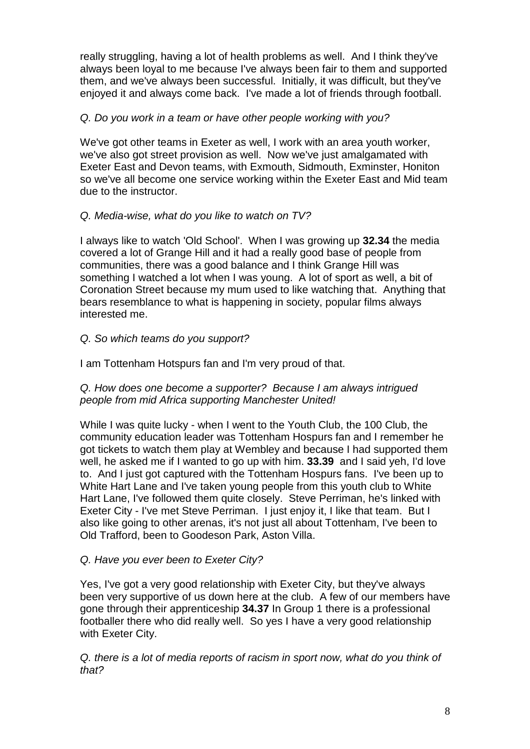really struggling, having a lot of health problems as well. And I think they've always been loyal to me because I've always been fair to them and supported them, and we've always been successful. Initially, it was difficult, but they've enjoyed it and always come back. I've made a lot of friends through football.

## Q. Do you work in a team or have other people working with you?

We've got other teams in Exeter as well, I work with an area youth worker, we've also got street provision as well. Now we've just amalgamated with Exeter East and Devon teams, with Exmouth, Sidmouth, Exminster, Honiton so we've all become one service working within the Exeter East and Mid team due to the instructor.

## Q. Media-wise, what do you like to watch on TV?

I always like to watch 'Old School'. When I was growing up **32.34** the media covered a lot of Grange Hill and it had a really good base of people from communities, there was a good balance and I think Grange Hill was something I watched a lot when I was young. A lot of sport as well, a bit of Coronation Street because my mum used to like watching that. Anything that bears resemblance to what is happening in society, popular films always interested me.

# Q. So which teams do you support?

I am Tottenham Hotspurs fan and I'm very proud of that.

## Q. How does one become a supporter? Because I am always intrigued people from mid Africa supporting Manchester United!

While I was quite lucky - when I went to the Youth Club, the 100 Club, the community education leader was Tottenham Hospurs fan and I remember he got tickets to watch them play at Wembley and because I had supported them well, he asked me if I wanted to go up with him. **33.39** and I said yeh, I'd love to. And I just got captured with the Tottenham Hospurs fans. I've been up to White Hart Lane and I've taken young people from this youth club to White Hart Lane, I've followed them quite closely. Steve Perriman, he's linked with Exeter City - I've met Steve Perriman. I just enjoy it, I like that team. But I also like going to other arenas, it's not just all about Tottenham, I've been to Old Trafford, been to Goodeson Park, Aston Villa.

## Q. Have you ever been to Exeter City?

Yes, I've got a very good relationship with Exeter City, but they've always been very supportive of us down here at the club. A few of our members have gone through their apprenticeship **34.37** In Group 1 there is a professional footballer there who did really well. So yes I have a very good relationship with Exeter City.

Q. there is a lot of media reports of racism in sport now, what do you think of that?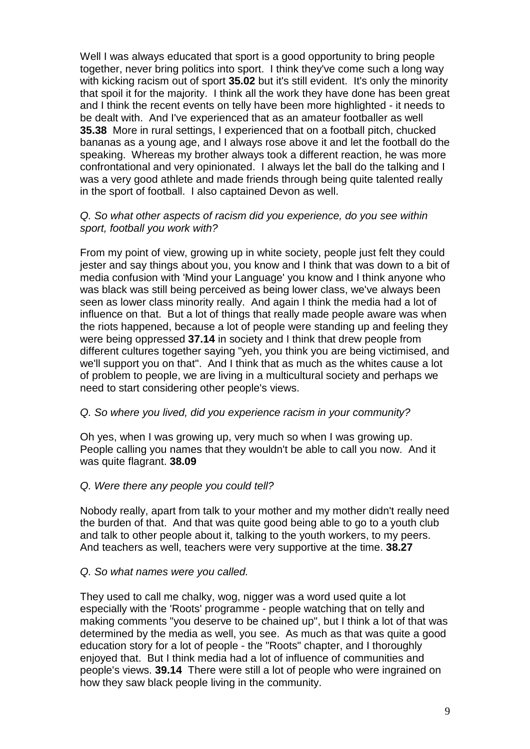Well I was always educated that sport is a good opportunity to bring people together, never bring politics into sport. I think they've come such a long way with kicking racism out of sport **35.02** but it's still evident. It's only the minority that spoil it for the majority. I think all the work they have done has been great and I think the recent events on telly have been more highlighted - it needs to be dealt with. And I've experienced that as an amateur footballer as well **35.38** More in rural settings, I experienced that on a football pitch, chucked bananas as a young age, and I always rose above it and let the football do the speaking. Whereas my brother always took a different reaction, he was more confrontational and very opinionated. I always let the ball do the talking and I was a very good athlete and made friends through being quite talented really in the sport of football. I also captained Devon as well.

## Q. So what other aspects of racism did you experience, do you see within sport, football you work with?

From my point of view, growing up in white society, people just felt they could jester and say things about you, you know and I think that was down to a bit of media confusion with 'Mind your Language' you know and I think anyone who was black was still being perceived as being lower class, we've always been seen as lower class minority really. And again I think the media had a lot of influence on that. But a lot of things that really made people aware was when the riots happened, because a lot of people were standing up and feeling they were being oppressed **37.14** in society and I think that drew people from different cultures together saying "yeh, you think you are being victimised, and we'll support you on that". And I think that as much as the whites cause a lot of problem to people, we are living in a multicultural society and perhaps we need to start considering other people's views.

## Q. So where you lived, did you experience racism in your community?

Oh yes, when I was growing up, very much so when I was growing up. People calling you names that they wouldn't be able to call you now. And it was quite flagrant. **38.09**

## Q. Were there any people you could tell?

Nobody really, apart from talk to your mother and my mother didn't really need the burden of that. And that was quite good being able to go to a youth club and talk to other people about it, talking to the youth workers, to my peers. And teachers as well, teachers were very supportive at the time. **38.27**

## Q. So what names were you called.

They used to call me chalky, wog, nigger was a word used quite a lot especially with the 'Roots' programme - people watching that on telly and making comments "you deserve to be chained up", but I think a lot of that was determined by the media as well, you see. As much as that was quite a good education story for a lot of people - the "Roots" chapter, and I thoroughly enjoyed that. But I think media had a lot of influence of communities and people's views. **39.14** There were still a lot of people who were ingrained on how they saw black people living in the community.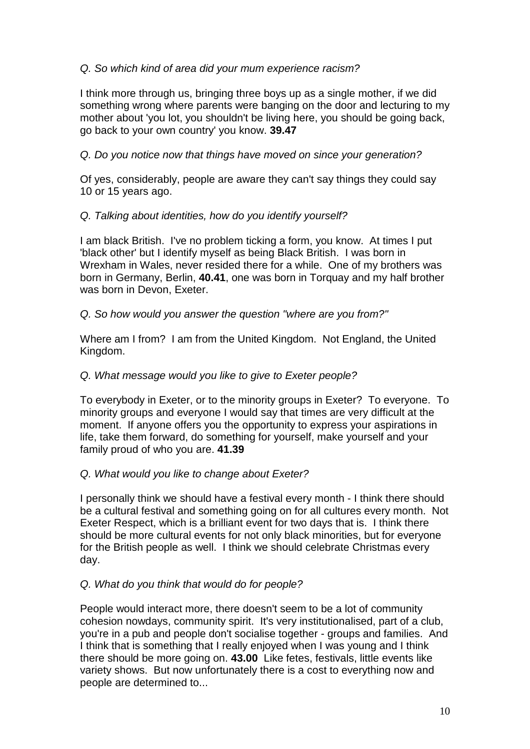# Q. So which kind of area did your mum experience racism?

I think more through us, bringing three boys up as a single mother, if we did something wrong where parents were banging on the door and lecturing to my mother about 'you lot, you shouldn't be living here, you should be going back, go back to your own country' you know. **39.47**

## Q. Do you notice now that things have moved on since your generation?

Of yes, considerably, people are aware they can't say things they could say 10 or 15 years ago.

## Q. Talking about identities, how do you identify yourself?

I am black British. I've no problem ticking a form, you know. At times I put 'black other' but I identify myself as being Black British. I was born in Wrexham in Wales, never resided there for a while. One of my brothers was born in Germany, Berlin, **40.41**, one was born in Torquay and my half brother was born in Devon, Exeter.

## Q. So how would you answer the question "where are you from?"

Where am I from? I am from the United Kingdom. Not England, the United Kingdom.

## Q. What message would you like to give to Exeter people?

To everybody in Exeter, or to the minority groups in Exeter? To everyone. To minority groups and everyone I would say that times are very difficult at the moment. If anyone offers you the opportunity to express your aspirations in life, take them forward, do something for yourself, make yourself and your family proud of who you are. **41.39**

## Q. What would you like to change about Exeter?

I personally think we should have a festival every month - I think there should be a cultural festival and something going on for all cultures every month. Not Exeter Respect, which is a brilliant event for two days that is. I think there should be more cultural events for not only black minorities, but for everyone for the British people as well. I think we should celebrate Christmas every day.

## Q. What do you think that would do for people?

People would interact more, there doesn't seem to be a lot of community cohesion nowdays, community spirit. It's very institutionalised, part of a club, you're in a pub and people don't socialise together - groups and families. And I think that is something that I really enjoyed when I was young and I think there should be more going on. **43.00** Like fetes, festivals, little events like variety shows. But now unfortunately there is a cost to everything now and people are determined to...